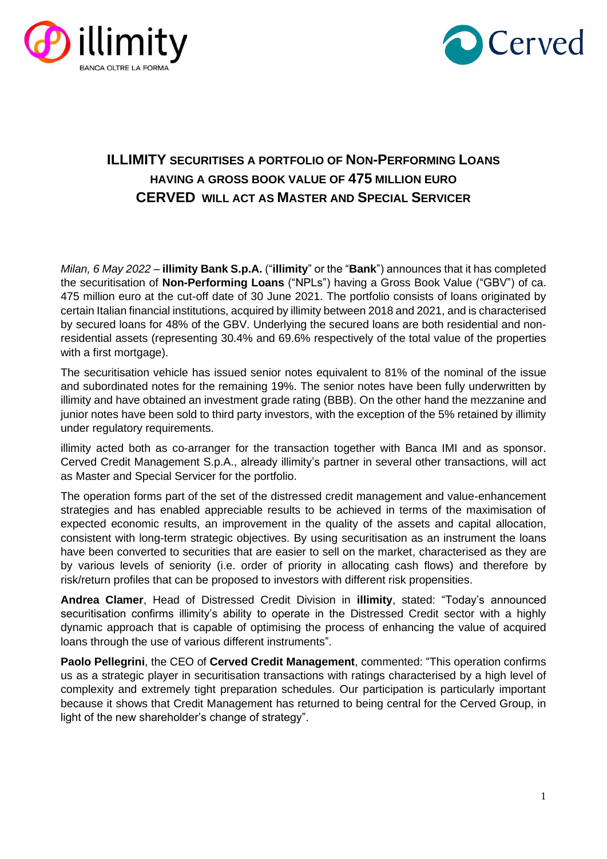



## **ILLIMITY** SECURITISES A PORTFOLIO OF **NON-PERFORMING** LOANS **HAVING A GROSS BOOK VALUE OF 475 MILLION EURO CERVED WILL ACT AS MASTER AND SPECIAL SERVICER**

*Milan, 6 May 2022* – **illimity Bank S.p.A.** ("**illimity**" or the "**Bank**") announces that it has completed the securitisation of **Non-Performing Loans** ("NPLs") having a Gross Book Value ("GBV") of ca. 475 million euro at the cut-off date of 30 June 2021. The portfolio consists of loans originated by certain Italian financial institutions, acquired by illimity between 2018 and 2021, and is characterised by secured loans for 48% of the GBV. Underlying the secured loans are both residential and nonresidential assets (representing 30.4% and 69.6% respectively of the total value of the properties with a first mortgage).

The securitisation vehicle has issued senior notes equivalent to 81% of the nominal of the issue and subordinated notes for the remaining 19%. The senior notes have been fully underwritten by illimity and have obtained an investment grade rating (BBB). On the other hand the mezzanine and junior notes have been sold to third party investors, with the exception of the 5% retained by illimity under regulatory requirements.

illimity acted both as co-arranger for the transaction together with Banca IMI and as sponsor. Cerved Credit Management S.p.A., already illimity's partner in several other transactions, will act as Master and Special Servicer for the portfolio.

The operation forms part of the set of the distressed credit management and value-enhancement strategies and has enabled appreciable results to be achieved in terms of the maximisation of expected economic results, an improvement in the quality of the assets and capital allocation, consistent with long-term strategic objectives. By using securitisation as an instrument the loans have been converted to securities that are easier to sell on the market, characterised as they are by various levels of seniority (i.e. order of priority in allocating cash flows) and therefore by risk/return profiles that can be proposed to investors with different risk propensities.

**Andrea Clamer**, Head of Distressed Credit Division in **illimity**, stated: "Today's announced securitisation confirms illimity's ability to operate in the Distressed Credit sector with a highly dynamic approach that is capable of optimising the process of enhancing the value of acquired loans through the use of various different instruments".

**Paolo Pellegrini**, the CEO of **Cerved Credit Management**, commented: "This operation confirms us as a strategic player in securitisation transactions with ratings characterised by a high level of complexity and extremely tight preparation schedules. Our participation is particularly important because it shows that Credit Management has returned to being central for the Cerved Group, in light of the new shareholder's change of strategy".